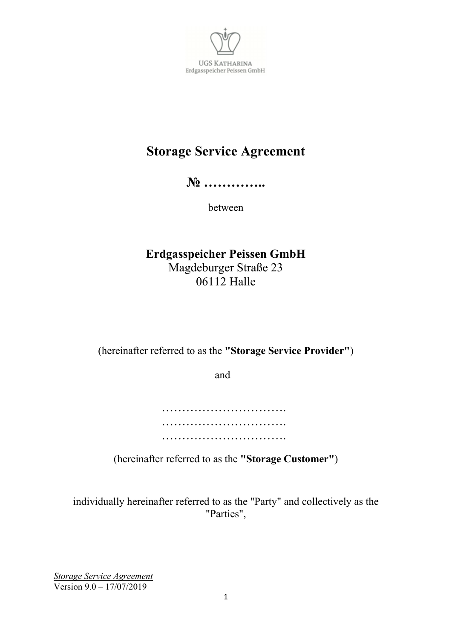

# **Storage Service Agreement**

**№ …………..**

between

**Erdgasspeicher Peissen GmbH**  Magdeburger Straße 23 06112 Halle

(hereinafter referred to as the **"Storage Service Provider"**)

and

……………………………………… ………………………………………… …………………………………………

(hereinafter referred to as the **"Storage Customer"**)

individually hereinafter referred to as the "Party" and collectively as the "Parties",

*Storage Service Agreement*  Version 9.0 – 17/07/2019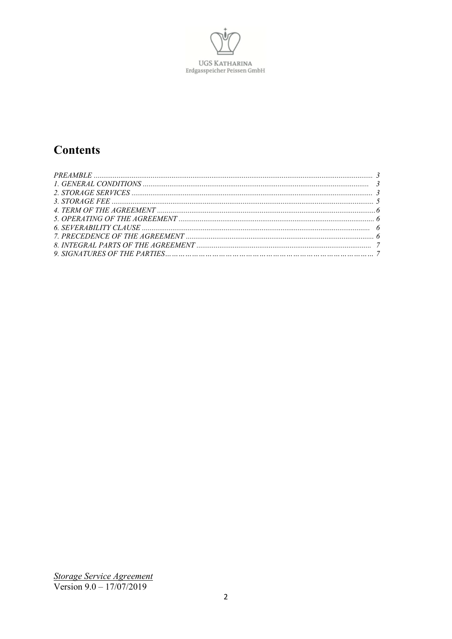

# **Contents**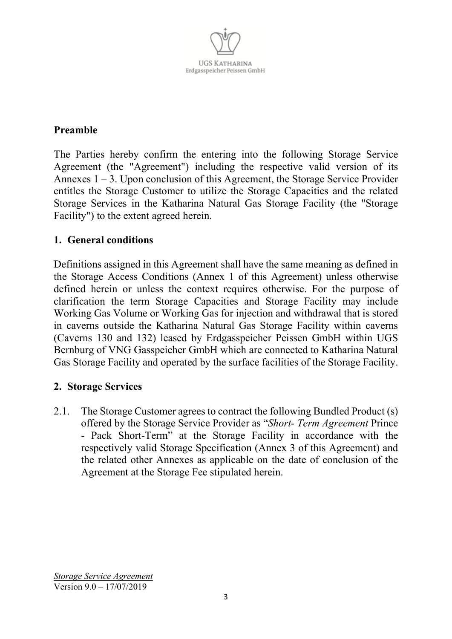

## **Preamble**

The Parties hereby confirm the entering into the following Storage Service Agreement (the "Agreement") including the respective valid version of its Annexes  $1 - 3$ . Upon conclusion of this Agreement, the Storage Service Provider entitles the Storage Customer to utilize the Storage Capacities and the related Storage Services in the Katharina Natural Gas Storage Facility (the "Storage Facility") to the extent agreed herein.

## **1. General conditions**

Definitions assigned in this Agreement shall have the same meaning as defined in the Storage Access Conditions (Annex 1 of this Agreement) unless otherwise defined herein or unless the context requires otherwise. For the purpose of clarification the term Storage Capacities and Storage Facility may include Working Gas Volume or Working Gas for injection and withdrawal that is stored in caverns outside the Katharina Natural Gas Storage Facility within caverns (Caverns 130 and 132) leased by Erdgasspeicher Peissen GmbH within UGS Bernburg of VNG Gasspeicher GmbH which are connected to Katharina Natural Gas Storage Facility and operated by the surface facilities of the Storage Facility.

### **2. Storage Services**

2.1. The Storage Customer agrees to contract the following Bundled Product (s) offered by the Storage Service Provider as "*Short- Term Agreement* Prince - Pack Short-Term" at the Storage Facility in accordance with the respectively valid Storage Specification (Annex 3 of this Agreement) and the related other Annexes as applicable on the date of conclusion of the Agreement at the Storage Fee stipulated herein.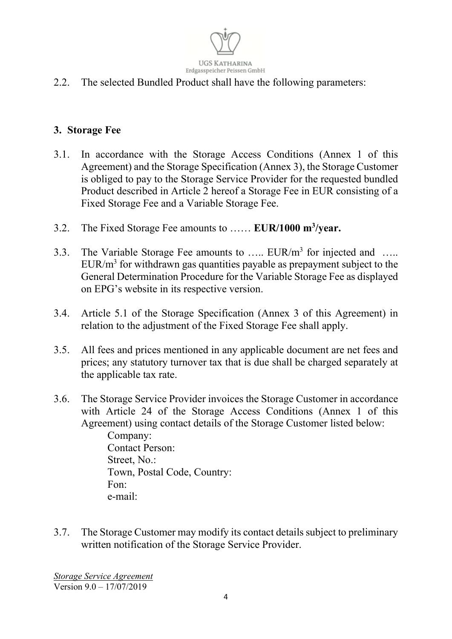

2.2. The selected Bundled Product shall have the following parameters:

## **3. Storage Fee**

- 3.1. In accordance with the Storage Access Conditions (Annex 1 of this Agreement) and the Storage Specification (Annex 3), the Storage Customer is obliged to pay to the Storage Service Provider for the requested bundled Product described in Article 2 hereof a Storage Fee in EUR consisting of a Fixed Storage Fee and a Variable Storage Fee.
- 3.2. The Fixed Storage Fee amounts to …… **EUR/1000 m<sup>3</sup> /year.**
- 3.3. The Variable Storage Fee amounts to .....  $EUR/m<sup>3</sup>$  for injected and .....  $EUR/m<sup>3</sup>$  for withdrawn gas quantities payable as prepayment subject to the General Determination Procedure for the Variable Storage Fee as displayed on EPG's website in its respective version.
- 3.4. Article 5.1 of the Storage Specification (Annex 3 of this Agreement) in relation to the adjustment of the Fixed Storage Fee shall apply.
- 3.5. All fees and prices mentioned in any applicable document are net fees and prices; any statutory turnover tax that is due shall be charged separately at the applicable tax rate.
- 3.6. The Storage Service Provider invoices the Storage Customer in accordance with Article 24 of the Storage Access Conditions (Annex 1 of this Agreement) using contact details of the Storage Customer listed below: Company: Contact Person: Street, No.:

Town, Postal Code, Country: Fon: e-mail:

3.7. The Storage Customer may modify its contact details subject to preliminary written notification of the Storage Service Provider.

*Storage Service Agreement*  Version 9.0 – 17/07/2019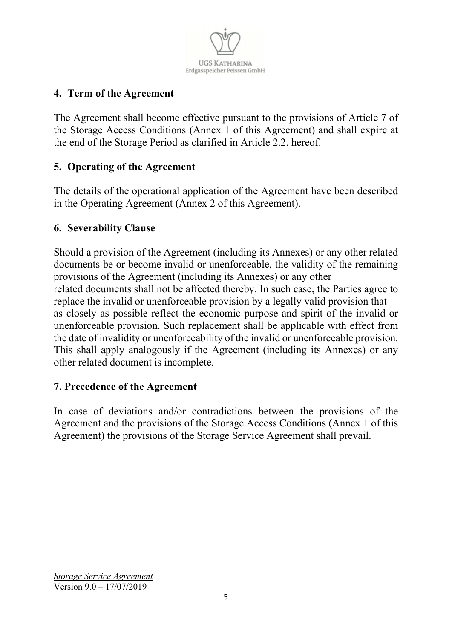

# **4. Term of the Agreement**

The Agreement shall become effective pursuant to the provisions of Article 7 of the Storage Access Conditions (Annex 1 of this Agreement) and shall expire at the end of the Storage Period as clarified in Article 2.2. hereof.

## **5. Operating of the Agreement**

The details of the operational application of the Agreement have been described in the Operating Agreement (Annex 2 of this Agreement).

## **6. Severability Clause**

Should a provision of the Agreement (including its Annexes) or any other related documents be or become invalid or unenforceable, the validity of the remaining provisions of the Agreement (including its Annexes) or any other related documents shall not be affected thereby. In such case, the Parties agree to replace the invalid or unenforceable provision by a legally valid provision that as closely as possible reflect the economic purpose and spirit of the invalid or unenforceable provision. Such replacement shall be applicable with effect from the date of invalidity or unenforceability of the invalid or unenforceable provision. This shall apply analogously if the Agreement (including its Annexes) or any other related document is incomplete.

### **7. Precedence of the Agreement**

In case of deviations and/or contradictions between the provisions of the Agreement and the provisions of the Storage Access Conditions (Annex 1 of this Agreement) the provisions of the Storage Service Agreement shall prevail.